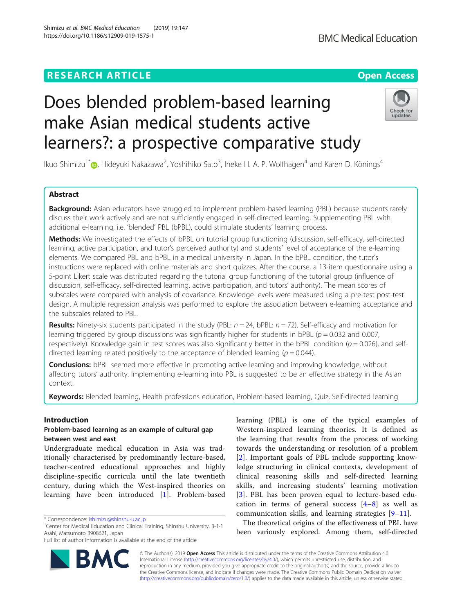## **RESEARCH ARTICLE Example 2018 12:30 THE Open Access**

# Does blended problem-based learning make Asian medical students active learners?: a prospective comparative study

Ikuo Shimizu<sup>1\*</sup> (@[,](http://orcid.org/0000-0002-6731-7104) Hideyuki Nakazawa<sup>2</sup>, Yoshihiko Sato<sup>3</sup>, Ineke H. A. P. Wolfhagen<sup>4</sup> and Karen D. Könings<sup>4</sup>

## Abstract

**Background:** Asian educators have struggled to implement problem-based learning (PBL) because students rarely discuss their work actively and are not sufficiently engaged in self-directed learning. Supplementing PBL with additional e-learning, i.e. 'blended' PBL (bPBL), could stimulate students' learning process.

Methods: We investigated the effects of bPBL on tutorial group functioning (discussion, self-efficacy, self-directed learning, active participation, and tutor's perceived authority) and students' level of acceptance of the e-learning elements. We compared PBL and bPBL in a medical university in Japan. In the bPBL condition, the tutor's instructions were replaced with online materials and short quizzes. After the course, a 13-item questionnaire using a 5-point Likert scale was distributed regarding the tutorial group functioning of the tutorial group (influence of discussion, self-efficacy, self-directed learning, active participation, and tutors' authority). The mean scores of subscales were compared with analysis of covariance. Knowledge levels were measured using a pre-test post-test design. A multiple regression analysis was performed to explore the association between e-learning acceptance and the subscales related to PBL.

Results: Ninety-six students participated in the study (PBL:  $n = 24$ , bPBL:  $n = 72$ ). Self-efficacy and motivation for learning triggered by group discussions was significantly higher for students in bPBL ( $p = 0.032$  and 0.007, respectively). Knowledge gain in test scores was also significantly better in the bPBL condition ( $p = 0.026$ ), and selfdirected learning related positively to the acceptance of blended learning ( $p = 0.044$ ).

**Conclusions:** bPBL seemed more effective in promoting active learning and improving knowledge, without affecting tutors' authority. Implementing e-learning into PBL is suggested to be an effective strategy in the Asian context.

Keywords: Blended learning, Health professions education, Problem-based learning, Quiz, Self-directed learning

## Introduction

## Problem-based learning as an example of cultural gap between west and east

Undergraduate medical education in Asia was traditionally characterised by predominantly lecture-based, teacher-centred educational approaches and highly discipline-specific curricula until the late twentieth century, during which the West-inspired theories on learning have been introduced [[1\]](#page-7-0). Problem-based

\* Correspondence: [ishimizu@shinshu-u.ac.jp](mailto:ishimizu@shinshu-u.ac.jp) <sup>1</sup>

<sup>1</sup> Center for Medical Education and Clinical Training, Shinshu University, 3-1-1 Asahi, Matsumoto 3908621, Japan

Full list of author information is available at the end of the article

Western-inspired learning theories. It is defined as the learning that results from the process of working towards the understanding or resolution of a problem [[2](#page-7-0)]. Important goals of PBL include supporting knowledge structuring in clinical contexts, development of clinical reasoning skills and self-directed learning skills, and increasing students' learning motivation [[3](#page-7-0)]. PBL has been proven equal to lecture-based education in terms of general success [[4](#page-7-0)–[8\]](#page-7-0) as well as communication skills, and learning strategies [\[9](#page-7-0)–[11](#page-7-0)].

learning (PBL) is one of the typical examples of

The theoretical origins of the effectiveness of PBL have been variously explored. Among them, self-directed

© The Author(s). 2019 **Open Access** This article is distributed under the terms of the Creative Commons Attribution 4.0 International License [\(http://creativecommons.org/licenses/by/4.0/](http://creativecommons.org/licenses/by/4.0/)), which permits unrestricted use, distribution, and reproduction in any medium, provided you give appropriate credit to the original author(s) and the source, provide a link to the Creative Commons license, and indicate if changes were made. The Creative Commons Public Domain Dedication waiver [\(http://creativecommons.org/publicdomain/zero/1.0/](http://creativecommons.org/publicdomain/zero/1.0/)) applies to the data made available in this article, unless otherwise stated.



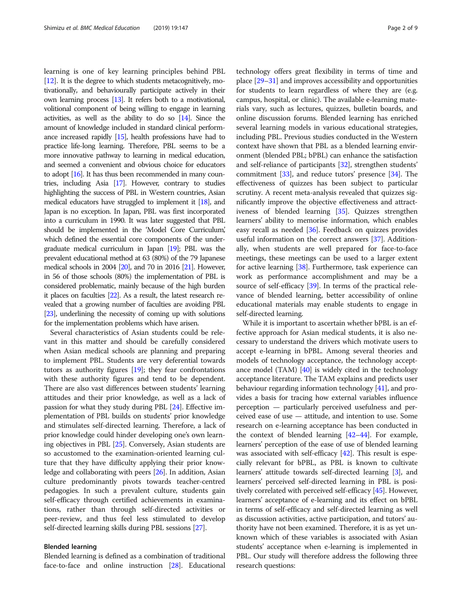learning is one of key learning principles behind PBL [[12\]](#page-7-0). It is the degree to which students metacognitively, motivationally, and behaviourally participate actively in their own learning process [\[13](#page-7-0)]. It refers both to a motivational, volitional component of being willing to engage in learning activities, as well as the ability to do so  $[14]$ . Since the amount of knowledge included in standard clinical performance increased rapidly [\[15](#page-7-0)], health professions have had to practice life-long learning. Therefore, PBL seems to be a more innovative pathway to learning in medical education, and seemed a convenient and obvious choice for educators to adopt [\[16\]](#page-7-0). It has thus been recommended in many countries, including Asia [\[17](#page-7-0)]. However, contrary to studies highlighting the success of PBL in Western countries, Asian medical educators have struggled to implement it [\[18\]](#page-7-0), and Japan is no exception. In Japan, PBL was first incorporated into a curriculum in 1990. It was later suggested that PBL should be implemented in the 'Model Core Curriculum,' which defined the essential core components of the undergraduate medical curriculum in Japan [[19\]](#page-7-0); PBL was the prevalent educational method at 63 (80%) of the 79 Japanese medical schools in 2004 [[20\]](#page-7-0), and 70 in 2016 [\[21\]](#page-7-0). However, in 56 of those schools (80%) the implementation of PBL is considered problematic, mainly because of the high burden it places on faculties [[22\]](#page-7-0). As a result, the latest research revealed that a growing number of faculties are avoiding PBL [[23\]](#page-8-0), underlining the necessity of coming up with solutions for the implementation problems which have arisen.

Several characteristics of Asian students could be relevant in this matter and should be carefully considered when Asian medical schools are planning and preparing to implement PBL. Students are very deferential towards tutors as authority figures [\[19\]](#page-7-0); they fear confrontations with these authority figures and tend to be dependent. There are also vast differences between students' learning attitudes and their prior knowledge, as well as a lack of passion for what they study during PBL [[24\]](#page-8-0). Effective implementation of PBL builds on students' prior knowledge and stimulates self-directed learning. Therefore, a lack of prior knowledge could hinder developing one's own learning objectives in PBL [\[25](#page-8-0)]. Conversely, Asian students are so accustomed to the examination-oriented learning culture that they have difficulty applying their prior knowledge and collaborating with peers [[26](#page-8-0)]. In addition, Asian culture predominantly pivots towards teacher-centred pedagogies. In such a prevalent culture, students gain self-efficacy through certified achievements in examinations, rather than through self-directed activities or peer-review, and thus feel less stimulated to develop self-directed learning skills during PBL sessions [[27](#page-8-0)].

#### Blended learning

Blended learning is defined as a combination of traditional face-to-face and online instruction [[28](#page-8-0)]. Educational technology offers great flexibility in terms of time and place [[29](#page-8-0)–[31\]](#page-8-0) and improves accessibility and opportunities for students to learn regardless of where they are (e.g. campus, hospital, or clinic). The available e-learning materials vary, such as lectures, quizzes, bulletin boards, and online discussion forums. Blended learning has enriched several learning models in various educational strategies, including PBL. Previous studies conducted in the Western context have shown that PBL as a blended learning environment (blended PBL; bPBL) can enhance the satisfaction and self-reliance of participants [[32](#page-8-0)], strengthen students' commitment [[33](#page-8-0)], and reduce tutors' presence [[34](#page-8-0)]. The effectiveness of quizzes has been subject to particular scrutiny. A recent meta-analysis revealed that quizzes significantly improve the objective effectiveness and attractiveness of blended learning [[35](#page-8-0)]. Quizzes strengthen learners' ability to memorise information, which enables easy recall as needed [[36\]](#page-8-0). Feedback on quizzes provides useful information on the correct answers [\[37](#page-8-0)]. Additionally, when students are well prepared for face-to-face meetings, these meetings can be used to a larger extent for active learning [\[38](#page-8-0)]. Furthermore, task experience can work as performance accomplishment and may be a source of self-efficacy [[39](#page-8-0)]. In terms of the practical relevance of blended learning, better accessibility of online educational materials may enable students to engage in self-directed learning.

While it is important to ascertain whether bPBL is an effective approach for Asian medical students, it is also necessary to understand the drivers which motivate users to accept e-learning in bPBL. Among several theories and models of technology acceptance, the technology acceptance model (TAM)  $[40]$  $[40]$  $[40]$  is widely cited in the technology acceptance literature. The TAM explains and predicts user behaviour regarding information technology [[41](#page-8-0)], and provides a basis for tracing how external variables influence perception — particularly perceived usefulness and perceived ease of use — attitude, and intention to use. Some research on e-learning acceptance has been conducted in the context of blended learning [[42](#page-8-0)–[44\]](#page-8-0). For example, learners' perception of the ease of use of blended learning was associated with self-efficacy [[42](#page-8-0)]. This result is especially relevant for bPBL, as PBL is known to cultivate learners' attitude towards self-directed learning [[3\]](#page-7-0), and learners' perceived self-directed learning in PBL is positively correlated with perceived self-efficacy [[45](#page-8-0)]. However, learners' acceptance of e-learning and its effect on bPBL in terms of self-efficacy and self-directed learning as well as discussion activities, active participation, and tutors' authority have not been examined. Therefore, it is as yet unknown which of these variables is associated with Asian students' acceptance when e-learning is implemented in PBL. Our study will therefore address the following three research questions: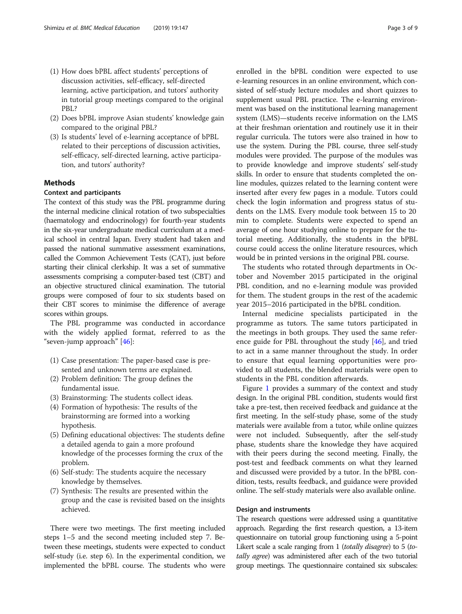- (1) How does bPBL affect students' perceptions of discussion activities, self-efficacy, self-directed learning, active participation, and tutors' authority in tutorial group meetings compared to the original PBL?
- (2) Does bPBL improve Asian students' knowledge gain compared to the original PBL?
- (3) Is students' level of e-learning acceptance of bPBL related to their perceptions of discussion activities, self-efficacy, self-directed learning, active participation, and tutors' authority?

#### Methods

#### Context and participants

The context of this study was the PBL programme during the internal medicine clinical rotation of two subspecialties (haematology and endocrinology) for fourth-year students in the six-year undergraduate medical curriculum at a medical school in central Japan. Every student had taken and passed the national summative assessment examinations, called the Common Achievement Tests (CAT), just before starting their clinical clerkship. It was a set of summative assessments comprising a computer-based test (CBT) and an objective structured clinical examination. The tutorial groups were composed of four to six students based on their CBT scores to minimise the difference of average scores within groups.

The PBL programme was conducted in accordance with the widely applied format, referred to as the "seven-jump approach" [\[46\]](#page-8-0):

- (1) Case presentation: The paper-based case is presented and unknown terms are explained.
- (2) Problem definition: The group defines the fundamental issue.
- (3) Brainstorming: The students collect ideas.
- (4) Formation of hypothesis: The results of the brainstorming are formed into a working hypothesis.
- (5) Defining educational objectives: The students define a detailed agenda to gain a more profound knowledge of the processes forming the crux of the problem.
- (6) Self-study: The students acquire the necessary knowledge by themselves.
- (7) Synthesis: The results are presented within the group and the case is revisited based on the insights achieved.

There were two meetings. The first meeting included steps 1–5 and the second meeting included step 7. Between these meetings, students were expected to conduct self-study (i.e. step 6). In the experimental condition, we implemented the bPBL course. The students who were enrolled in the bPBL condition were expected to use e-learning resources in an online environment, which consisted of self-study lecture modules and short quizzes to supplement usual PBL practice. The e-learning environment was based on the institutional learning management system (LMS)—students receive information on the LMS at their freshman orientation and routinely use it in their regular curricula. The tutors were also trained in how to use the system. During the PBL course, three self-study modules were provided. The purpose of the modules was to provide knowledge and improve students' self-study skills. In order to ensure that students completed the online modules, quizzes related to the learning content were inserted after every few pages in a module. Tutors could check the login information and progress status of students on the LMS. Every module took between 15 to 20 min to complete. Students were expected to spend an average of one hour studying online to prepare for the tutorial meeting. Additionally, the students in the bPBL course could access the online literature resources, which would be in printed versions in the original PBL course.

The students who rotated through departments in October and November 2015 participated in the original PBL condition, and no e-learning module was provided for them. The student groups in the rest of the academic year 2015–2016 participated in the bPBL condition.

Internal medicine specialists participated in the programme as tutors. The same tutors participated in the meetings in both groups. They used the same reference guide for PBL throughout the study [\[46](#page-8-0)], and tried to act in a same manner throughout the study. In order to ensure that equal learning opportunities were provided to all students, the blended materials were open to students in the PBL condition afterwards.

Figure [1](#page-3-0) provides a summary of the context and study design. In the original PBL condition, students would first take a pre-test, then received feedback and guidance at the first meeting. In the self-study phase, some of the study materials were available from a tutor, while online quizzes were not included. Subsequently, after the self-study phase, students share the knowledge they have acquired with their peers during the second meeting. Finally, the post-test and feedback comments on what they learned and discussed were provided by a tutor. In the bPBL condition, tests, results feedback, and guidance were provided online. The self-study materials were also available online.

#### Design and instruments

The research questions were addressed using a quantitative approach. Regarding the first research question, a 13-item questionnaire on tutorial group functioning using a 5-point Likert scale a scale ranging from 1 (totally disagree) to 5 (totally agree) was administered after each of the two tutorial group meetings. The questionnaire contained six subscales: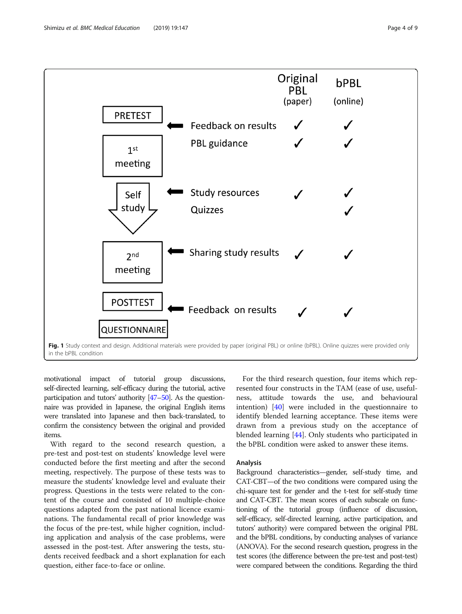<span id="page-3-0"></span>

motivational impact of tutorial group discussions, self-directed learning, self-efficacy during the tutorial, active participation and tutors' authority [\[47](#page-8-0)–[50](#page-8-0)]. As the questionnaire was provided in Japanese, the original English items were translated into Japanese and then back-translated, to confirm the consistency between the original and provided items.

With regard to the second research question, a pre-test and post-test on students' knowledge level were conducted before the first meeting and after the second meeting, respectively. The purpose of these tests was to measure the students' knowledge level and evaluate their progress. Questions in the tests were related to the content of the course and consisted of 10 multiple-choice questions adapted from the past national licence examinations. The fundamental recall of prior knowledge was the focus of the pre-test, while higher cognition, including application and analysis of the case problems, were assessed in the post-test. After answering the tests, students received feedback and a short explanation for each question, either face-to-face or online.

For the third research question, four items which represented four constructs in the TAM (ease of use, usefulness, attitude towards the use, and behavioural intention) [[40\]](#page-8-0) were included in the questionnaire to identify blended learning acceptance. These items were drawn from a previous study on the acceptance of blended learning [[44](#page-8-0)]. Only students who participated in the bPBL condition were asked to answer these items.

#### Analysis

Background characteristics—gender, self-study time, and CAT-CBT—of the two conditions were compared using the chi-square test for gender and the t-test for self-study time and CAT-CBT. The mean scores of each subscale on functioning of the tutorial group (influence of discussion, self-efficacy, self-directed learning, active participation, and tutors' authority) were compared between the original PBL and the bPBL conditions, by conducting analyses of variance (ANOVA). For the second research question, progress in the test scores (the difference between the pre-test and post-test) were compared between the conditions. Regarding the third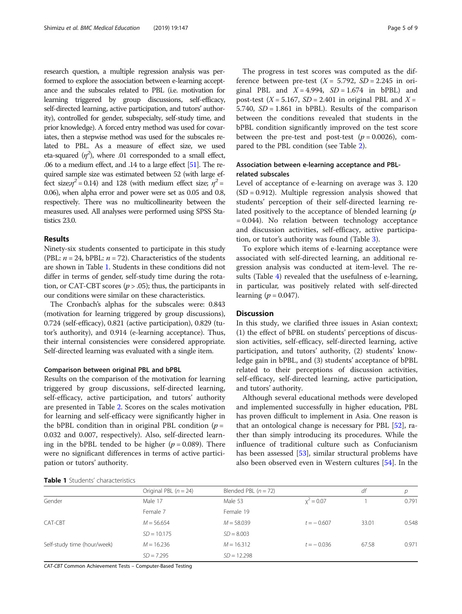research question, a multiple regression analysis was performed to explore the association between e-learning acceptance and the subscales related to PBL (i.e. motivation for learning triggered by group discussions, self-efficacy, self-directed learning, active participation, and tutors' authority), controlled for gender, subspecialty, self-study time, and prior knowledge). A forced entry method was used for covariates, then a stepwise method was used for the subscales related to PBL. As a measure of effect size, we used eta-squared  $(\eta^2)$ , where .01 corresponded to a small effect, .06 to a medium effect, and .14 to a large effect [\[51\]](#page-8-0). The required sample size was estimated between 52 (with large effect size; $\eta^2$  = 0.14) and 128 (with medium effect size;  $\eta^2$  = 0.06), when alpha error and power were set as 0.05 and 0.8, respectively. There was no multicollinearity between the measures used. All analyses were performed using SPSS Statistics 23.0.

#### Results

Ninety-six students consented to participate in this study (PBL:  $n = 24$ , bPBL:  $n = 72$ ). Characteristics of the students are shown in Table 1. Students in these conditions did not differ in terms of gender, self-study time during the rotation, or CAT-CBT scores ( $p > .05$ ); thus, the participants in our conditions were similar on these characteristics.

The Cronbach's alphas for the subscales were: 0.843 (motivation for learning triggered by group discussions), 0.724 (self-efficacy), 0.821 (active participation), 0.829 (tutor's authority), and 0.914 (e-learning acceptance). Thus, their internal consistencies were considered appropriate. Self-directed learning was evaluated with a single item.

#### Comparison between original PBL and bPBL

Results on the comparison of the motivation for learning triggered by group discussions, self-directed learning, self-efficacy, active participation, and tutors' authority are presented in Table [2.](#page-5-0) Scores on the scales motivation for learning and self-efficacy were significantly higher in the bPBL condition than in original PBL condition ( $p =$ 0.032 and 0.007, respectively). Also, self-directed learning in the bPBL tended to be higher ( $p = 0.089$ ). There were no significant differences in terms of active participation or tutors' authority.

The progress in test scores was computed as the difference between pre-test  $(X = 5.792, SD = 2.245$  in original PBL and  $X = 4.994$ ,  $SD = 1.674$  in bPBL) and post-test ( $X = 5.167$ ,  $SD = 2.401$  in original PBL and  $X =$ 5.740,  $SD = 1.861$  in bPBL). Results of the comparison between the conditions revealed that students in the bPBL condition significantly improved on the test score between the pre-test and post-test  $(p = 0.0026)$ , compared to the PBL condition (see Table [2](#page-5-0)).

### Association between e-learning acceptance and PBLrelated subscales

Level of acceptance of e-learning on average was 3. 120  $(SD = 0.912)$ . Multiple regression analysis showed that students' perception of their self-directed learning related positively to the acceptance of blended learning  $(p)$ = 0.044). No relation between technology acceptance and discussion activities, self-efficacy, active participation, or tutor's authority was found (Table [3\)](#page-5-0).

To explore which items of e-learning acceptance were associated with self-directed learning, an additional regression analysis was conducted at item-level. The results (Table [4](#page-6-0)) revealed that the usefulness of e-learning, in particular, was positively related with self-directed learning ( $p = 0.047$ ).

#### **Discussion**

In this study, we clarified three issues in Asian context; (1) the effect of bPBL on students' perceptions of discussion activities, self-efficacy, self-directed learning, active participation, and tutors' authority, (2) students' knowledge gain in bPBL, and (3) students' acceptance of bPBL related to their perceptions of discussion activities, self-efficacy, self-directed learning, active participation, and tutors' authority.

Although several educational methods were developed and implemented successfully in higher education, PBL has proven difficult to implement in Asia. One reason is that an ontological change is necessary for PBL [\[52](#page-8-0)], rather than simply introducing its procedures. While the influence of traditional culture such as Confucianism has been assessed [\[53](#page-8-0)], similar structural problems have also been observed even in Western cultures [[54](#page-8-0)]. In the

|  |  | <b>Table 1</b> Students' characteristics |
|--|--|------------------------------------------|
|  |  |                                          |

|                             | Original PBL $(n = 24)$ | Blended PBL $(n = 72)$ |              | df    |       |
|-----------------------------|-------------------------|------------------------|--------------|-------|-------|
| Gender                      | Male 17                 | Male 53                | $x^2 = 0.07$ |       | 0.791 |
|                             | Female 7                | Female 19              |              |       |       |
| CAT-CBT                     | $M = 56.654$            | $M = 58.039$           | $t = -0.607$ | 33.01 | 0.548 |
|                             | $SD = 10.175$           | $SD = 8.003$           |              |       |       |
| Self-study time (hour/week) | $M = 16.236$            | $M = 16.312$           | $t = -0.036$ | 67.58 | 0.971 |
|                             | $SD = 7.295$            | $SD = 12.298$          |              |       |       |

CAT-CBT Common Achievement Tests – Computer-Based Testing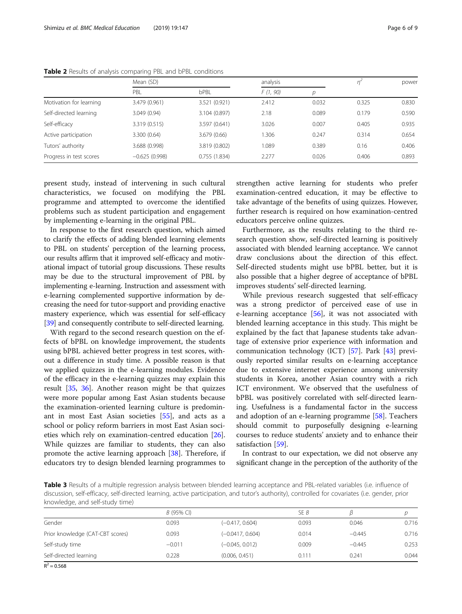|                         | Mean (SD)       |               |          | analysis |       | power |
|-------------------------|-----------------|---------------|----------|----------|-------|-------|
|                         | PBL             | bPBL          | F(1, 90) | D        |       |       |
| Motivation for learning | 3.479 (0.961)   | 3.521 (0.921) | 2.412    | 0.032    | 0.325 | 0.830 |
| Self-directed learning  | 3.049 (0.94)    | 3.104 (0.897) | 2.18     | 0.089    | 0.179 | 0.590 |
| Self-efficacy           | 3.319 (0.515)   | 3.597 (0.641) | 3.026    | 0.007    | 0.405 | 0.935 |
| Active participation    | 3.300(0.64)     | 3.679(0.66)   | 1.306    | 0.247    | 0.314 | 0.654 |
| Tutors' authority       | 3.688 (0.998)   | 3.819 (0.802) | 1.089    | 0.389    | 0.16  | 0.406 |
| Progress in test scores | $-0.625(0.998)$ | 0.755(1.834)  | 2.277    | 0.026    | 0.406 | 0.893 |

<span id="page-5-0"></span>Table 2 Results of analysis comparing PBL and bPBL conditions

present study, instead of intervening in such cultural characteristics, we focused on modifying the PBL programme and attempted to overcome the identified problems such as student participation and engagement by implementing e-learning in the original PBL.

In response to the first research question, which aimed to clarify the effects of adding blended learning elements to PBL on students' perception of the learning process, our results affirm that it improved self-efficacy and motivational impact of tutorial group discussions. These results may be due to the structural improvement of PBL by implementing e-learning. Instruction and assessment with e-learning complemented supportive information by decreasing the need for tutor-support and providing enactive mastery experience, which was essential for self-efficacy [[39](#page-8-0)] and consequently contribute to self-directed learning.

With regard to the second research question on the effects of bPBL on knowledge improvement, the students using bPBL achieved better progress in test scores, without a difference in study time. A possible reason is that we applied quizzes in the e-learning modules. Evidence of the efficacy in the e-learning quizzes may explain this result [[35,](#page-8-0) [36\]](#page-8-0). Another reason might be that quizzes were more popular among East Asian students because the examination-oriented learning culture is predominant in most East Asian societies [\[55](#page-8-0)], and acts as a school or policy reform barriers in most East Asian societies which rely on examination-centred education [\[26](#page-8-0)]. While quizzes are familiar to students, they can also promote the active learning approach [\[38](#page-8-0)]. Therefore, if educators try to design blended learning programmes to

strengthen active learning for students who prefer examination-centred education, it may be effective to take advantage of the benefits of using quizzes. However, further research is required on how examination-centred educators perceive online quizzes.

Furthermore, as the results relating to the third research question show, self-directed learning is positively associated with blended learning acceptance. We cannot draw conclusions about the direction of this effect. Self-directed students might use bPBL better, but it is also possible that a higher degree of acceptance of bPBL improves students' self-directed learning.

While previous research suggested that self-efficacy was a strong predictor of perceived ease of use in e-learning acceptance [[56\]](#page-8-0), it was not associated with blended learning acceptance in this study. This might be explained by the fact that Japanese students take advantage of extensive prior experience with information and communication technology (ICT) [\[57](#page-8-0)]. Park [\[43](#page-8-0)] previously reported similar results on e-learning acceptance due to extensive internet experience among university students in Korea, another Asian country with a rich ICT environment. We observed that the usefulness of bPBL was positively correlated with self-directed learning. Usefulness is a fundamental factor in the success and adoption of an e-learning programme [[58](#page-8-0)]. Teachers should commit to purposefully designing e-learning courses to reduce students' anxiety and to enhance their satisfaction [\[59](#page-8-0)].

In contrast to our expectation, we did not observe any significant change in the perception of the authority of the

Table 3 Results of a multiple regression analysis between blended learning acceptance and PBL-related variables (i.e. influence of discussion, self-efficacy, self-directed learning, active participation, and tutor's authority), controlled for covariates (i.e. gender, prior knowledge, and self-study time)

|                                  | $B(95\% \text{ Cl})$ |                    | SE B  |          |       |  |
|----------------------------------|----------------------|--------------------|-------|----------|-------|--|
| Gender                           | 0.093                | $(-0.417, 0.604)$  | 0.093 | 0.046    | 0.716 |  |
| Prior knowledge (CAT-CBT scores) | 0.093                | $(-0.0417, 0.604)$ | 0.014 | $-0.445$ | 0.716 |  |
| Self-study time                  | $-0.011$             | $(-0.045, 0.012)$  | 0.009 | $-0.445$ | 0.253 |  |
| Self-directed learning           | 0.228                | (0.006, 0.451)     | 0.111 | 0.241    | 0.044 |  |
| $n^2$ $n \leq n$                 |                      |                    |       |          |       |  |

 $R^2 = 0.568$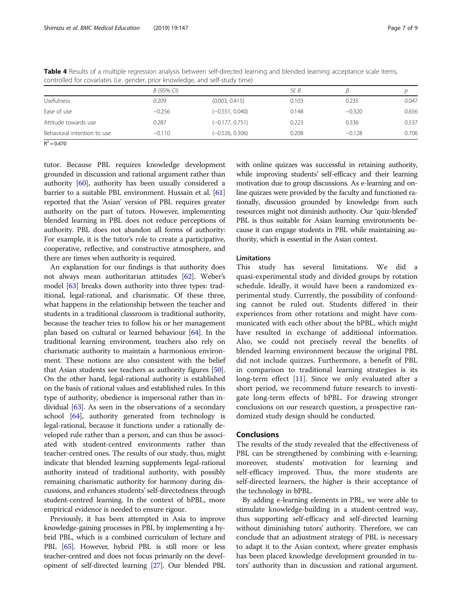|                             | $B(95\% \text{ Cl})$ |                   | SE B  |          |       |
|-----------------------------|----------------------|-------------------|-------|----------|-------|
| <b>Usefulness</b>           | 0.209                | (0.003, 0.415)    | 0.103 | 0.235    | 0.047 |
| Ease of use                 | $-0.256$             | $(-0.551, 0.040)$ | 0.148 | $-0.320$ | 0.656 |
| Attitude towards use        | 0.287                | $(-0.177, 0.751)$ | 0.223 | 0.336    | 0.537 |
| Behavioral intention to use | $-0.110$             | $(-0.526, 0.306)$ | 0.208 | $-0.128$ | 0.706 |

<span id="page-6-0"></span>Table 4 Results of a multiple regression analysis between self-directed learning and blended learning acceptance scale items, controlled for covariates (i.e. gender, prior knowledge, and self-study time)

 $R^2 = 0.470$ 

tutor. Because PBL requires knowledge development grounded in discussion and rational argument rather than authority [\[60\]](#page-8-0), authority has been usually considered a barrier to a suitable PBL environment. Hussain et al. [[61](#page-8-0)] reported that the 'Asian' version of PBL requires greater authority on the part of tutors. However, implementing blended learning in PBL does not reduce perceptions of authority. PBL does not abandon all forms of authority: For example, it is the tutor's role to create a participative, cooperative, reflective, and constructive atmosphere, and there are times when authority is required.

An explanation for our findings is that authority does not always mean authoritarian attitudes [\[62](#page-8-0)]. Weber's model [\[63](#page-8-0)] breaks down authority into three types: traditional, legal-rational, and charismatic. Of these three, what happens in the relationship between the teacher and students in a traditional classroom is traditional authority, because the teacher tries to follow his or her management plan based on cultural or learned behaviour [\[64](#page-8-0)]. In the traditional learning environment, teachers also rely on charismatic authority to maintain a harmonious environment. These notions are also consistent with the belief that Asian students see teachers as authority figures [[50](#page-8-0)]. On the other hand, legal-rational authority is established on the basis of rational values and established rules. In this type of authority, obedience is impersonal rather than individual [\[63\]](#page-8-0). As seen in the observations of a secondary school [\[64\]](#page-8-0), authority generated from technology is legal-rational, because it functions under a rationally developed rule rather than a person, and can thus be associated with student-centred environments rather than teacher-centred ones. The results of our study, thus, might indicate that blended learning supplements legal-rational authority instead of traditional authority, with possibly remaining charismatic authority for harmony during discussions, and enhances students' self-directedness through student-centred learning. In the context of bPBL, more empirical evidence is needed to ensure rigour.

Previously, it has been attempted in Asia to improve knowledge-gaining processes in PBL by implementing a hybrid PBL, which is a combined curriculum of lecture and PBL [[65](#page-8-0)]. However, hybrid PBL is still more or less teacher-centred and does not focus primarily on the development of self-directed learning [\[27\]](#page-8-0). Our blended PBL with online quizzes was successful in retaining authority, while improving students' self-efficacy and their learning motivation due to group discussions. As e-learning and online quizzes were provided by the faculty and functioned rationally, discussion grounded by knowledge from such resources might not diminish authority. Our 'quiz-blended' PBL is thus suitable for Asian learning environments because it can engage students in PBL while maintaining authority, which is essential in the Asian context.

#### Limitations

This study has several limitations. We did a quasi-experimental study and divided groups by rotation schedule. Ideally, it would have been a randomized experimental study. Currently, the possibility of confounding cannot be ruled out. Students differed in their experiences from other rotations and might have communicated with each other about the bPBL, which might have resulted in exchange of additional information. Also, we could not precisely reveal the benefits of blended learning environment because the original PBL did not include quizzes. Furthermore, a benefit of PBL in comparison to traditional learning strategies is its long-term effect [\[11\]](#page-7-0). Since we only evaluated after a short period, we recommend future research to investigate long-term effects of bPBL. For drawing stronger conclusions on our research question, a prospective randomized study design should be conducted.

#### Conclusions

The results of the study revealed that the effectiveness of PBL can be strengthened by combining with e-learning; moreover, students' motivation for learning and self-efficacy improved. Thus, the more students are self-directed learners, the higher is their acceptance of the technology in bPBL.

By adding e-learning elements in PBL, we were able to stimulate knowledge-building in a student-centred way, thus supporting self-efficacy and self-directed learning without diminishing tutors' authority. Therefore, we can conclude that an adjustment strategy of PBL is necessary to adapt it to the Asian context, where greater emphasis has been placed knowledge development grounded in tutors' authority than in discussion and rational argument.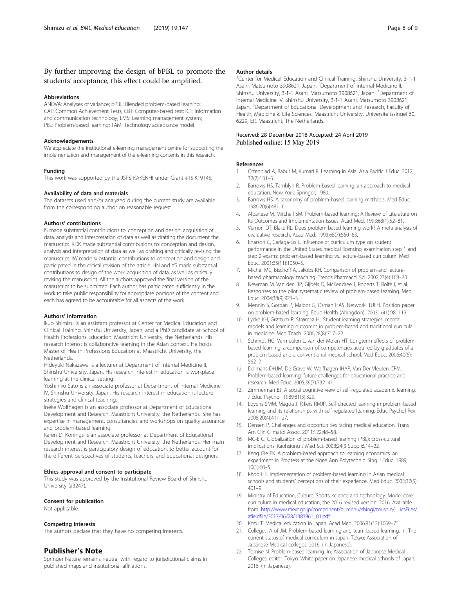### <span id="page-7-0"></span>By further improving the design of bPBL to promote the students' acceptance, this effect could be amplified.

#### **Abbreviations**

ANOVA: Analyses of variance; bPBL: Blended problem-based learning; CAT: Common Achievement Tests; CBT: Computer-based test; ICT: Information and communication technology; LMS: Learning management system; PBL: Problem-based learning; TAM: Technology acceptance model

#### Acknowledgements

We appreciate the institutional e-learning management centre for supporting the implementation and management of the e-learning contents in this research.

#### Funding

This work was supported by the JSPS KAKENHI under Grant #15 K19145.

#### Availability of data and materials

The datasets used and/or analyzed during the current study are available from the corresponding author on reasonable request.

#### Authors' contributions

IS made substantial contributions to: conception and design, acquisition of data, analysis and interpretation of data as well as drafting the document the manuscript. KDK made substantial contributions to: conception and design, analysis and interpretation of data as well as drafting and critically revising the manuscript. IW made substantial contributions to conception and design and participated in the critical revision of the article. HN and YS made substantial contributions to design of the work, acquisition of data, as well as critically revising the manuscript. All the authors approved the final version of the manuscript to be submitted. Each author has participated sufficiently in the work to take public responsibility for appropriate portions of the content and each has agreed to be accountable for all aspects of the work.

#### Authors' information

Ikuo Shimizu is an assistant professor at Center for Medical Education and Clinical Training, Shinshu University, Japan, and a PhD candidate at School of Health Professions Education, Maastricht University, the Netherlands. His research interest is collaborative learning in the Asian context. He holds Master of Health Professions Education at Maastricht University, the **Netherlands** 

Hideyuki Nakazawa is a lecturer at Department of Internal Medicine II, Shinshu University, Japan. His research interest in education is workplace learning at the clinical setting.

Yoshihiko Sato is an associate professor at Department of Internal Medicine IV, Shinshu University, Japan. His research interest in education is lecture strategies and clinical teaching.

Ineke Wolfhagen is an associate professor at Department of Educational Development and Research, Maastricht University, the Netherlands. She has expertise in management, consultancies and workshops on quality assurance and problem-based learning.

Karen D. Könings is an associate professor at Department of Educational Development and Research, Maastricht University, the Netherlands. Her main research interest is participatory design of education, to better account for the different perspectives of students, teachers, and educational designers.

#### Ethics approval and consent to participate

This study was approved by the Institutional Review Board of Shinshu University (#3247).

#### Consent for publication

Not applicable.

#### Competing interests

The authors declare that they have no competing interests.

#### Publisher's Note

Springer Nature remains neutral with regard to jurisdictional claims in published maps and institutional affiliations.

#### Author details

<sup>1</sup> Center for Medical Education and Clinical Training, Shinshu University, 3-1-1 Asahi, Matsumoto 3908621, Japan. <sup>2</sup>Department of Internal Medicine II Shinshu University, 3-1-1 Asahi, Matsumoto 3908621, Japan. <sup>3</sup>Department of Internal Medicine IV, Shinshu University, 3-1-1 Asahi, Matsumoto 3908621, Japan. <sup>4</sup> Department of Educational Development and Research, Faculty of Health, Medicine & Life Sciences, Maastricht University, Universiteitssingel 60, 6229, ER, Maastricht, The Netherlands.

#### Received: 28 December 2018 Accepted: 24 April 2019 Published online: 15 May 2019

#### References

- Örtenblad A, Babur M, Kumari R. Learning in Asia. Asia Pacific J Educ. 2012; 32(2):131–6.
- 2. Barrows HS, Tamblyn R. Problem-based learning: an approach to medical education. New York: Springer; 1980.
- 3. Barrows HS. A taxonomy of problem-based learning methods. Med Educ. 1986;20(6):481–6.
- 4. Albanese M, Mitchell SM. Problem-based learning: A Review of Literature on Its Outcomes and Implementation Issues. Acad Med. 1993;68(1):52–81.
- 5. Vernon DT, Blake RL. Does problem-based learning work? A meta-analysis of evaluative research. Acad Med. 1993;68(7):550–63.
- 6. Enarson C, Cariaga-Lo L. Influence of curriculum type on student performance in the United States medical licensing examination step 1 and step 2 exams: problem-based learning vs. lecture-based curriculum. Med Educ. 2001;35(11):1050–5.
- 7. Michel MC, Bischoff A, Jakobs KH. Comparison of problem-and lecturebased pharmacology teaching. Trends Pharmacol Sci. 2002;23(4):168–70.
- Newman M, Van den BP, Gijbels D, McKendree J, Roberts T, Rolfe I, et al. Responses to the pilot systematic review of problem-based learning. Med Educ. 2004;38(9):921–3.
- 9. Mennin S, Gordan P, Majoor G, Osman HAS. Network: TUFH. Position paper on problem-based learning. Educ Health (Abingdon). 2003;16(1):98–113.
- 10. Lycke KH, Grøttum P, Strømsø HI. Student learning strategies, mental models and learning outcomes in problem-based and traditional curricula in medicine. Med Teach. 2006;28(8):717–22.
- 11. Schmidt HG, Vermeulen L, van der Molen HT. Longterm effects of problembased learning: a comparison of competencies acquired by graduates of a problem-based and a conventional medical school. Med Educ. 2006;40(6): 562–7.
- 12. Dolmans DHJM, De Grave W, Wolfhagen IHAP, Van Der Vleuten CPM. Problem-based learning: future challenges for educational practice and research. Med Educ. 2005;39(7):732–41.
- 13. Zimmerman BJ. A social cognitive view of self-regulated academic learning. J Educ Psychol. 1989;81(3):329.
- 14. Loyens SMM, Magda J, Rikers RMJP. Self-directed learning in problem-based learning and its relationships with self-regulated learning. Educ Psychol Rev. 2008;20(4):411–27.
- 15. Densen P. Challenges and opportunities facing medical education. Trans Am Clin Climatol Assoc. 2011;122:48–58.
- 16. MC-E G. Globalization of problem-based learning (PBL): cross-cultural implications. Kaohsiung J Med Sci. 2008;24(3 Suppl):S14–22.
- 17. Keng Gie EK. A problem-based approach to learning economics: an experiment in Progress at the Ngee Ann Polytechnic. Sing J Educ. 1989; 10(1):60–5.
- 18. Khoo HE. Implementation of problem-based learning in Asian medical schools and students' perceptions of their experience. Med Educ. 2003;37(5): 401–9.
- 19. Ministry of Education, Culture, Sports, science and technology. Model core curriculum in medical education, the 2016 revised version. 2016. Available from: [http://www.mext.go.jp/component/b\\_menu/shingi/toushin/\\_\\_icsFiles/](http://www.mext.go.jp/component/b_menu/shingi/toushin/__icsFiles/afieldfile/2017/06/28/1383961_01.pdf) [afieldfile/2017/06/28/1383961\\_01.pdf](http://www.mext.go.jp/component/b_menu/shingi/toushin/__icsFiles/afieldfile/2017/06/28/1383961_01.pdf).
- 20. Kozu T. Medical education in Japan. Acad Med. 2006;81(12):1069–75.
- 21. Colleges. A of JM. Problem-based learning and team-based learning. In: The current status of medical curriculum in Japan. Tokyo: Association of Japanese Medical colleges; 2016. (in Japanese).
- 22. Tomise N. Problem-based learning. In: Association of Japanese Medical Colleges, editor. Tokyo: White paper on Japanese medical schools of Japan; 2016. (in Japanese).